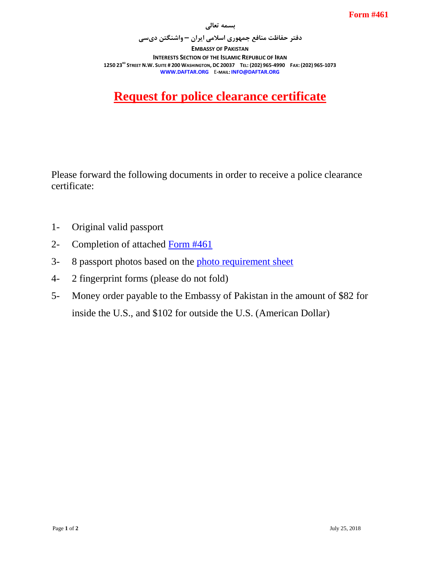**بسمه تعالی**

**دفتر حفاظت منافع جمهوری اسالمی ایران – واشنگتن دیسی EMBASSY OF PAKISTAN INTERESTS SECTION OF THE ISLAMIC REPUBLIC OF IRAN** 1250 23<sup>80</sup> STREET N.W. SUITE # 200 WASHINGTON, DC 20037 TEL: (202) 965-4990 FAX: (202) 965-1073 **WWW.DAFTAR.ORG** E**-MAIL: INFO@DAFTAR.ORG**

## **Request for police clearance certificate**

Please forward the following documents in order to receive a police clearance certificate:

- 1- Original valid passport
- 2- Completion of attached [Form #461](http://www.daftar.org/forms/vitalrecords/verifications/461.pdf)
- 3- 8 passport photos based on the [photo requirement sheet](http://www.daftar.org/forms/socialaffairs/photog.pdf)
- 4- 2 fingerprint forms (please do not fold)
- 5- Money order payable to the Embassy of Pakistan in the amount of \$82 for inside the U.S., and \$102 for outside the U.S. (American Dollar)